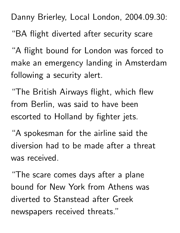Danny Brierley, Local London, 2004.09.30:

"BA flight diverted after security scare

"A flight bound for London was forced to make an emergency landing in Amsterdam following a security alert.

"The British Airways flight, which flew from Berlin, was said to have been escorted to Holland by fighter jets.

"A spokesman for the airline said the diversion had to be made after a threat was received.

"The scare comes days after a plane bound for New York from Athens was diverted to Stanstead after Greek newspapers received threats."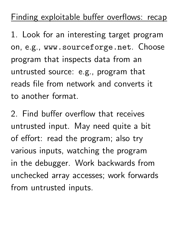## Finding exploitable buffer overflows: recap

1. Look for an interesting target program on, e.g., www.sourceforge.net. Choose program that inspects data from an untrusted source: e.g., program that reads file from network and converts it to another format.

2. Find buffer overflow that receives untrusted input. May need quite a bit of effort: read the program; also try various inputs, watching the program in the debugger. Work backwards from unchecked array accesses; work forwards from untrusted inputs.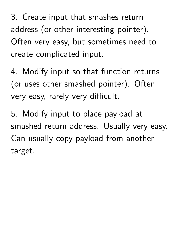3. Create input that smashes return address (or other interesting pointer). Often very easy, but sometimes need to create complicated input.

4. Modify input so that function returns (or uses other smashed pointer). Often very easy, rarely very difficult.

5. Modify input to place payload at smashed return address. Usually very easy. Can usually copy payload from another target.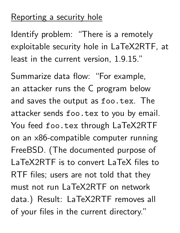## Reporting a security hole

Identify problem: "There is a remotely exploitable security hole in LaTeX2RTF, at least in the current version, 1.9.15."

Summarize data flow: "For example, an attacker runs the C program below and saves the output as foo.tex. The attacker sends foo.tex to you by email. You feed foo.tex through LaTeX2RTF on an x86-compatible computer running FreeBSD. (The documented purpose of LaTeX2RTF is to convert LaTeX files to RTF files; users are not told that they must not run LaTeX2RTF on network data.) Result: LaTeX2RTF removes all of your files in the current directory."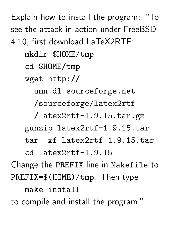Explain how to install the program: "To see the attack in action under FreeBSD 4.10, first download LaTeX2RTF: mkdir \$HOME/tmp cd \$HOME/tmp wget http:// umn.dl.sourceforge.net /sourceforge/latex2rtf /latex2rtf-1.9.15.tar.gz gunzip latex2rtf-1.9.15.tar tar -xf latex2rtf-1.9.15.tar cd latex2rtf-1.9.15 Change the PREFIX line in Makefile to PREFIX=\$(HOME)/tmp. Then type make install

to compile and install the program."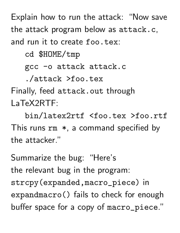Explain how to run the attack: "Now save the attack program below as attack.c, and run it to create foo.tex:

cd \$HOME/tmp

gcc -o attack attack.c

./attack >foo.tex

Finally, feed attack.out through LaTeX2RTF:

bin/latex2rtf <foo.tex >foo.rtf This runs rm \* , a command specified by the attacker."

Summarize the bug: "Here's the relevant bug in the program: strcpy(expanded,macro\_piece) in expandmacro() fails to check for enough buffer space for a copy of macro\_piece."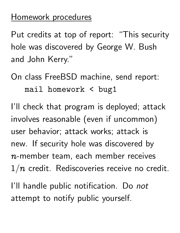## Homework procedures

Put credits at top of report: "This security hole was discovered by George W. Bush and John Kerry."

On class FreeBSD machine, send report: mail homework < bug1

I'll check that program is deployed; attack involves reasonable (even if uncommon) user behavior; attack works; attack is new. If security hole was discovered by -- --- ---- -- - - - - --member team, each member receives  $1/n$  credit. Rediscoveries receive no credit.

I'll handle public notification. Do not attempt to notify public yourself.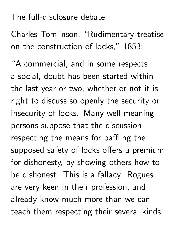## The full-disclosure debate

Charles Tomlinson, "Rudimentary treatise on the construction of locks," 1853:

"A commercial, and in some respects a social, doubt has been started within the last year or two, whether or not it is right to discuss so openly the security or insecurity of locks. Many well-meaning persons suppose that the discussion respecting the means for baffling the supposed safety of locks offers a premium for dishonesty, by showing others how to be dishonest. This is a fallacy. Rogues are very keen in their profession, and already know much more than we can teach them respecting their several kinds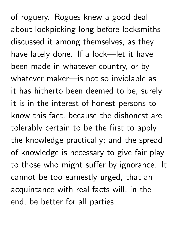of roguery. Rogues knew a good deal about lockpicking long before locksmiths discussed it among themselves, as they have lately done. If a lock—let it have been made in whatever country, or by whatever maker—is not so inviolable as it has hitherto been deemed to be, surely it is in the interest of honest persons to know this fact, because the dishonest are tolerably certain to be the first to apply the knowledge practically; and the spread of knowledge is necessary to give fair play to those who might suffer by ignorance. It cannot be too earnestly urged, that an acquintance with real facts will, in the end, be better for all parties.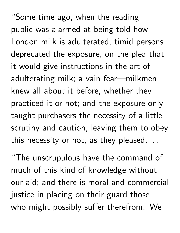"Some time ago, when the reading public was alarmed at being told how London milk is adulterated, timid persons deprecated the exposure, on the plea that it would give instructions in the art of adulterating milk; a vain fear—milkmen knew all about it before, whether they practiced it or not; and the exposure only taught purchasers the necessity of a little scrutiny and caution, leaving them to obey this necessity or not, as they pleased.  $\dots$ 

"The unscrupulous have the command of much of this kind of knowledge without our aid; and there is moral and commercial justice in placing on their guard those who might possibly suffer therefrom. We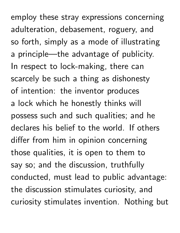employ these stray expressions concerning adulteration, debasement, roguery, and so forth, simply as a mode of illustrating a principle—the advantage of publicity. In respect to lock-making, there can scarcely be such a thing as dishonesty of intention: the inventor produces a lock which he honestly thinks will possess such and such qualities; and he declares his belief to the world. If others differ from him in opinion concerning those qualities, it is open to them to say so; and the discussion, truthfully conducted, must lead to public advantage: the discussion stimulates curiosity, and curiosity stimulates invention. Nothing but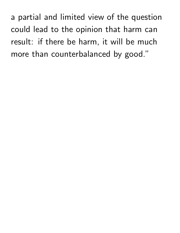a partial and limited view of the question could lead to the opinion that harm can result: if there be harm, it will be much more than counterbalanced by good."